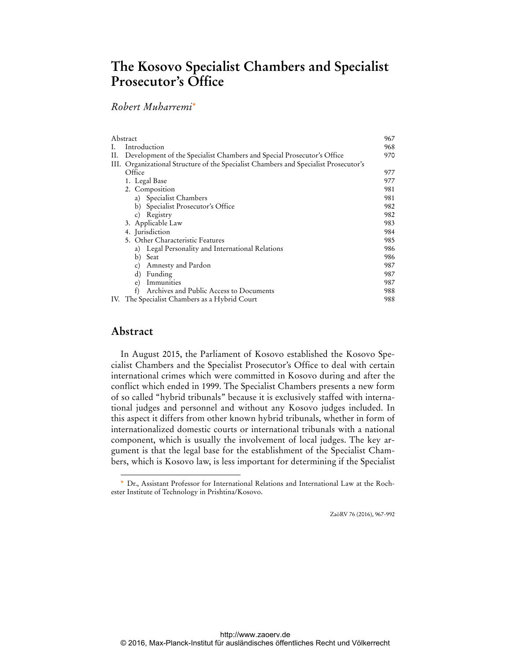# **The Kosovo Specialist Chambers and Specialist Prosecutor's Office**

## *Robert Muharremi\**

| Abstract |                                                                                      | 967 |
|----------|--------------------------------------------------------------------------------------|-----|
| L.       | Introduction                                                                         | 968 |
| П.       | Development of the Specialist Chambers and Special Prosecutor's Office               | 970 |
|          | III. Organizational Structure of the Specialist Chambers and Specialist Prosecutor's |     |
|          | Office                                                                               | 977 |
|          | 1. Legal Base                                                                        | 977 |
|          | 2. Composition                                                                       | 981 |
|          | a) Specialist Chambers                                                               | 981 |
|          | b) Specialist Prosecutor's Office                                                    | 982 |
|          | c) Registry                                                                          | 982 |
|          | 3. Applicable Law                                                                    | 983 |
|          | 4. Jurisdiction                                                                      | 984 |
|          | 5. Other Characteristic Features                                                     | 985 |
|          | a) Legal Personality and International Relations                                     | 986 |
|          | b)<br>Seat                                                                           | 986 |
|          | Amnesty and Pardon<br>$\mathcal{C}$ )                                                | 987 |
|          | Funding<br>$\rm d$                                                                   | 987 |
|          | Immunities<br>e)                                                                     | 987 |
|          | f<br>Archives and Public Access to Documents                                         | 988 |
|          | IV. The Specialist Chambers as a Hybrid Court                                        | 988 |
|          |                                                                                      |     |

## **Abstract**

 $\ddot{ }$ 

In August 2015, the Parliament of Kosovo established the Kosovo Specialist Chambers and the Specialist Prosecutor's Office to deal with certain international crimes which were committed in Kosovo during and after the conflict which ended in 1999. The Specialist Chambers presents a new form of so called "hybrid tribunals" because it is exclusively staffed with international judges and personnel and without any Kosovo judges included. In this aspect it differs from other known hybrid tribunals, whether in form of internationalized domestic courts or international tribunals with a national component, which is usually the involvement of local judges. The key argument is that the legal base for the establishment of the Specialist Chambers, which is Kosovo law, is less important for determining if the Specialist

ZaöRV 76 (2016), 967-992

Dr., Assistant Professor for International Relations and International Law at the Rochester Institute of Technology in Prishtina/Kosovo.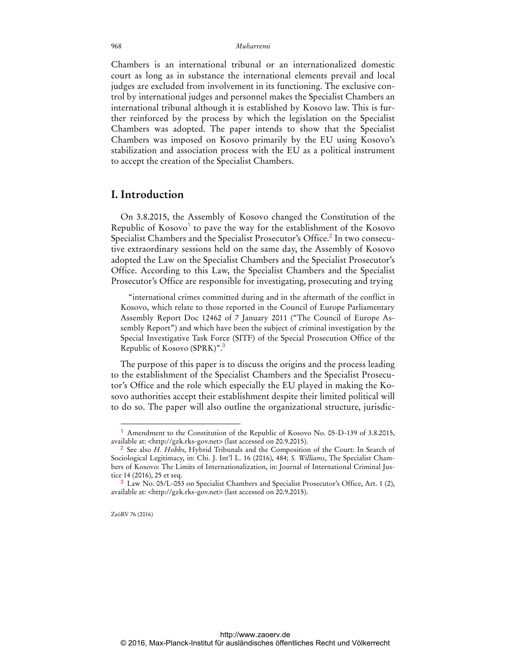Chambers is an international tribunal or an internationalized domestic court as long as in substance the international elements prevail and local judges are excluded from involvement in its functioning. The exclusive control by international judges and personnel makes the Specialist Chambers an international tribunal although it is established by Kosovo law. This is further reinforced by the process by which the legislation on the Specialist Chambers was adopted. The paper intends to show that the Specialist Chambers was imposed on Kosovo primarily by the EU using Kosovo's stabilization and association process with the EU as a political instrument to accept the creation of the Specialist Chambers.

### **I. Introduction**

On 3.8.2015, the Assembly of Kosovo changed the Constitution of the Republic of Kosovo<sup>1</sup> to pave the way for the establishment of the Kosovo Specialist Chambers and the Specialist Prosecutor's Office.<sup>2</sup> In two consecutive extraordinary sessions held on the same day, the Assembly of Kosovo adopted the Law on the Specialist Chambers and the Specialist Prosecutor's Office. According to this Law, the Specialist Chambers and the Specialist Prosecutor's Office are responsible for investigating, prosecuting and trying

"international crimes committed during and in the aftermath of the conflict in Kosovo, which relate to those reported in the Council of Europe Parliamentary Assembly Report Doc 12462 of 7 January 2011 ("The Council of Europe Assembly Report") and which have been the subject of criminal investigation by the Special Investigative Task Force (SITF) of the Special Prosecution Office of the Republic of Kosovo (SPRK)".<sup>3</sup>

The purpose of this paper is to discuss the origins and the process leading to the establishment of the Specialist Chambers and the Specialist Prosecutor's Office and the role which especially the EU played in making the Kosovo authorities accept their establishment despite their limited political will to do so. The paper will also outline the organizational structure, jurisdic-

ZaöRV 76 (2016)

<sup>1</sup> Amendment to the Constitution of the Republic of Kosovo No. 05-D-139 of 3.8.2015, available at: [<http://gzk.rks-gov.net>](http://gzk.rks-gov.net) (last accessed on 20.9.2015).

<sup>2</sup> See also *H. Hobbs*, Hybrid Tribunals and the Composition of the Court: In Search of Sociological Legitimacy, in: Chi. J. Int'l L. 16 (2016), 484; *S. Williams*, The Specialist Chambers of Kosovo: The Limits of Internationalization, in: Journal of International Criminal Justice 14 (2016), 25 et seq.

<sup>3</sup> Law No. 05/L-053 on Specialist Chambers and Specialist Prosecutor's Office, Art. 1 (2), available at: [<http://gzk.rks-gov.net>](http://gzk.rks-gov.net) (last accessed on 20.9.2015).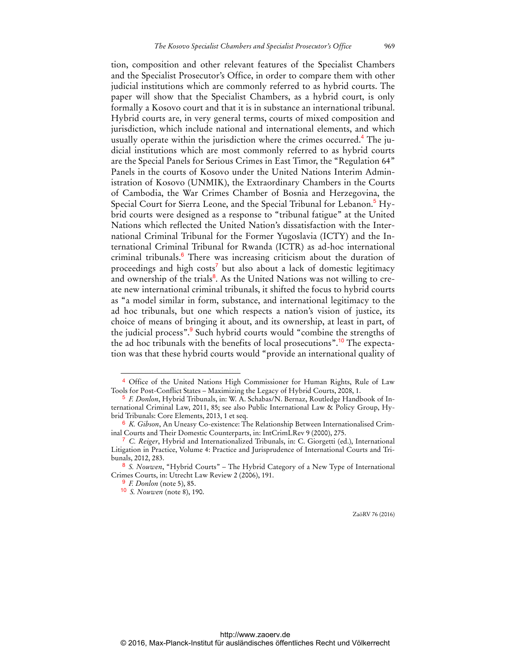tion, composition and other relevant features of the Specialist Chambers and the Specialist Prosecutor's Office, in order to compare them with other judicial institutions which are commonly referred to as hybrid courts. The paper will show that the Specialist Chambers, as a hybrid court, is only formally a Kosovo court and that it is in substance an international tribunal. Hybrid courts are, in very general terms, courts of mixed composition and jurisdiction, which include national and international elements, and which usually operate within the jurisdiction where the crimes occurred.<sup>4</sup> The judicial institutions which are most commonly referred to as hybrid courts are the Special Panels for Serious Crimes in East Timor, the "Regulation 64" Panels in the courts of Kosovo under the United Nations Interim Administration of Kosovo (UNMIK), the Extraordinary Chambers in the Courts of Cambodia, the War Crimes Chamber of Bosnia and Herzegovina, the Special Court for Sierra Leone, and the Special Tribunal for Lebanon.<sup>5</sup> Hybrid courts were designed as a response to "tribunal fatigue" at the United Nations which reflected the United Nation's dissatisfaction with the International Criminal Tribunal for the Former Yugoslavia (ICTY) and the International Criminal Tribunal for Rwanda (ICTR) as ad-hoc international criminal tribunals.<sup>6</sup> There was increasing criticism about the duration of proceedings and high costs<sup>7</sup> but also about a lack of domestic legitimacy and ownership of the trials<sup>8</sup>. As the United Nations was not willing to create new international criminal tribunals, it shifted the focus to hybrid courts as "a model similar in form, substance, and international legitimacy to the ad hoc tribunals, but one which respects a nation's vision of justice, its choice of means of bringing it about, and its ownership, at least in part, of the judicial process".<sup>9</sup> Such hybrid courts would "combine the strengths of the ad hoc tribunals with the benefits of local prosecutions".<sup>10</sup> The expectation was that these hybrid courts would "provide an international quality of

 $\overline{a}$ 

<sup>4</sup> Office of the United Nations High Commissioner for Human Rights, Rule of Law Tools for Post-Conflict States – Maximizing the Legacy of Hybrid Courts, 2008, 1.

<sup>5</sup> *F. Donlon*, Hybrid Tribunals, in: W. A. Schabas/N. Bernaz, Routledge Handbook of International Criminal Law, 2011, 85; see also Public International Law & Policy Group, Hybrid Tribunals: Core Elements, 2013, 1 et seq.

<sup>6</sup> *K. Gibson*, An Uneasy Co-existence: The Relationship Between Internationalised Criminal Courts and Their Domestic Counterparts, in: IntCrimLRev 9 (2000), 275.

<sup>7</sup> *C. Reiger*, Hybrid and Internationalized Tribunals, in: C. Giorgetti (ed.), International Litigation in Practice, Volume 4: Practice and Jurisprudence of International Courts and Tribunals, 2012, 283.

<sup>8</sup> *S. Nouwen*, "Hybrid Courts" – The Hybrid Category of a New Type of International Crimes Courts, in: Utrecht Law Review 2 (2006), 191.

<sup>9</sup> *F. Donlon* (note 5), 85.

<sup>10</sup> *S. Nouwen* (note 8), 190.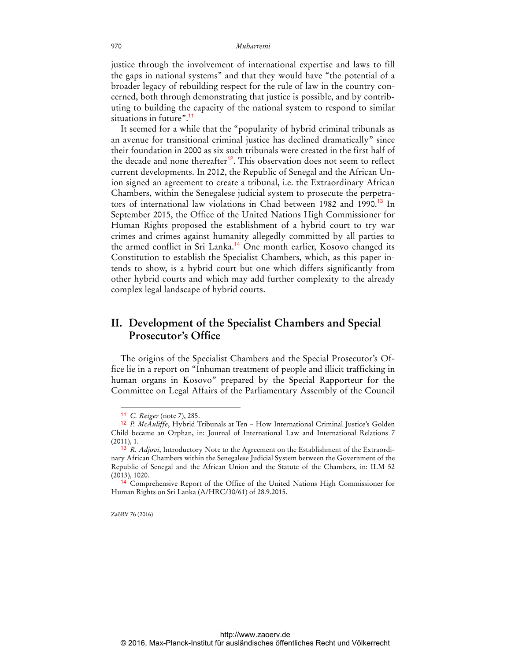justice through the involvement of international expertise and laws to fill the gaps in national systems" and that they would have "the potential of a broader legacy of rebuilding respect for the rule of law in the country concerned, both through demonstrating that justice is possible, and by contributing to building the capacity of the national system to respond to similar situations in future".<sup>11</sup>

It seemed for a while that the "popularity of hybrid criminal tribunals as an avenue for transitional criminal justice has declined dramatically" since their foundation in 2000 as six such tribunals were created in the first half of the decade and none thereafter<sup>12</sup>. This observation does not seem to reflect current developments. In 2012, the Republic of Senegal and the African Union signed an agreement to create a tribunal, i.e. the Extraordinary African Chambers, within the Senegalese judicial system to prosecute the perpetrators of international law violations in Chad between 1982 and 1990.<sup>13</sup> In September 2015, the Office of the United Nations High Commissioner for Human Rights proposed the establishment of a hybrid court to try war crimes and crimes against humanity allegedly committed by all parties to the armed conflict in Sri Lanka.<sup>14</sup> One month earlier, Kosovo changed its Constitution to establish the Specialist Chambers, which, as this paper intends to show, is a hybrid court but one which differs significantly from other hybrid courts and which may add further complexity to the already complex legal landscape of hybrid courts.

## **II. Development of the Specialist Chambers and Special Prosecutor's Office**

The origins of the Specialist Chambers and the Special Prosecutor's Office lie in a report on "Inhuman treatment of people and illicit trafficking in human organs in Kosovo" prepared by the Special Rapporteur for the Committee on Legal Affairs of the Parliamentary Assembly of the Council

ZaöRV 76 (2016)

<sup>11</sup> *C. Reiger* (note 7), 285.

<sup>12</sup> *P. McAuliffe*, Hybrid Tribunals at Ten – How International Criminal Justice's Golden Child became an Orphan, in: Journal of International Law and International Relations 7 (2011), 1.

<sup>13</sup> *R. Adjovi*, Introductory Note to the Agreement on the Establishment of the Extraordinary African Chambers within the Senegalese Judicial System between the Government of the Republic of Senegal and the African Union and the Statute of the Chambers, in: ILM 52 (2013), 1020.

<sup>14</sup> Comprehensive Report of the Office of the United Nations High Commissioner for Human Rights on Sri Lanka (A/HRC/30/61) of 28.9.2015.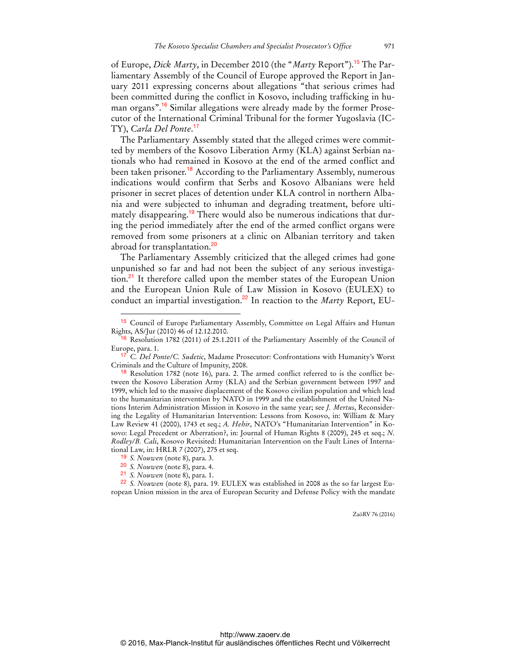of Europe, *Dick Marty*, in December 2010 (the "*Marty* Report").15 The Parliamentary Assembly of the Council of Europe approved the Report in January 2011 expressing concerns about allegations "that serious crimes had been committed during the conflict in Kosovo, including trafficking in human organs".16 Similar allegations were already made by the former Prosecutor of the International Criminal Tribunal for the former Yugoslavia (IC-TY), *Carla Del Ponte*. 17

The Parliamentary Assembly stated that the alleged crimes were committed by members of the Kosovo Liberation Army (KLA) against Serbian nationals who had remained in Kosovo at the end of the armed conflict and been taken prisoner.<sup>18</sup> According to the Parliamentary Assembly, numerous indications would confirm that Serbs and Kosovo Albanians were held prisoner in secret places of detention under KLA control in northern Albania and were subjected to inhuman and degrading treatment, before ultimately disappearing.<sup>19</sup> There would also be numerous indications that during the period immediately after the end of the armed conflict organs were removed from some prisoners at a clinic on Albanian territory and taken abroad for transplantation.<sup>20</sup>

The Parliamentary Assembly criticized that the alleged crimes had gone unpunished so far and had not been the subject of any serious investigation.<sup>21</sup> It therefore called upon the member states of the European Union and the European Union Rule of Law Mission in Kosovo (EULEX) to conduct an impartial investigation.<sup>22</sup> In reaction to the *Marty* Report, EU-

 $\overline{a}$ 

<sup>15</sup> Council of Europe Parliamentary Assembly, Committee on Legal Affairs and Human Rights, AS/Jur (2010) 46 of 12.12.2010.

<sup>&</sup>lt;sup>16</sup> Resolution 1782 (2011) of 25.1.2011 of the Parliamentary Assembly of the Council of Europe, para. 1.

<sup>17</sup> *C. Del Ponte/C. Sudetic*, Madame Prosecutor: Confrontations with Humanity's Worst Criminals and the Culture of Impunity, 2008.

<sup>18</sup> Resolution 1782 (note 16), para. 2. The armed conflict referred to is the conflict between the Kosovo Liberation Army (KLA) and the Serbian government between 1997 and 1999, which led to the massive displacement of the Kosovo civilian population and which lead to the humanitarian intervention by NATO in 1999 and the establishment of the United Nations Interim Administration Mission in Kosovo in the same year; see *J. Mertus*, Reconsidering the Legality of Humanitarian Intervention: Lessons from Kosovo, in: William & Mary Law Review 41 (2000), 1743 et seq.; *A. Hehir*, NATO's "Humanitarian Intervention" in Kosovo: Legal Precedent or Aberration?, in: Journal of Human Rights 8 (2009), 245 et seq.; *N. Rodley/B. Cali*, Kosovo Revisited: Humanitarian Intervention on the Fault Lines of International Law, in: HRLR 7 (2007), 275 et seq.

<sup>19</sup> *S. Nouwen* (note 8), para. 3.

<sup>20</sup> *S. Nouwen* (note 8), para. 4.

<sup>21</sup> *S. Nouwen* (note 8), para. 1.

<sup>22</sup> *S. Nouwen* (note 8), para. 19. EULEX was established in 2008 as the so far largest European Union mission in the area of European Security and Defense Policy with the mandate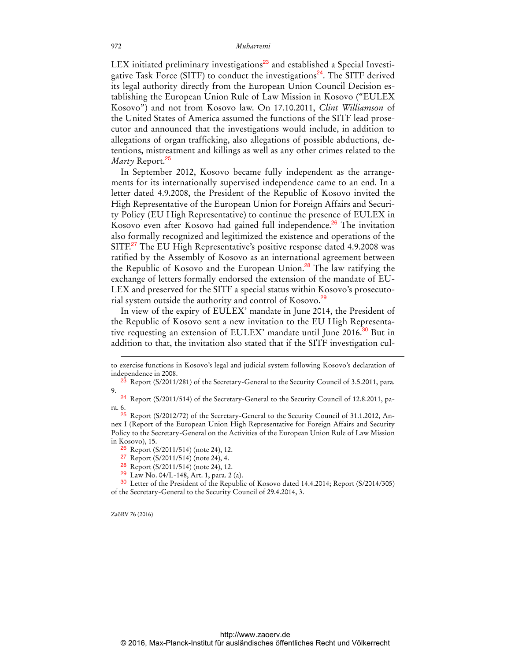LEX initiated preliminary investigations<sup>23</sup> and established a Special Investigative Task Force (SITF) to conduct the investigations<sup>24</sup>. The SITF derived its legal authority directly from the European Union Council Decision establishing the European Union Rule of Law Mission in Kosovo ("EULEX Kosovo") and not from Kosovo law. On 17.10.2011, *Clint Williamson* of the United States of America assumed the functions of the SITF lead prosecutor and announced that the investigations would include, in addition to allegations of organ trafficking, also allegations of possible abductions, detentions, mistreatment and killings as well as any other crimes related to the *Marty* Report.<sup>25</sup>

In September 2012, Kosovo became fully independent as the arrangements for its internationally supervised independence came to an end. In a letter dated 4.9.2008, the President of the Republic of Kosovo invited the High Representative of the European Union for Foreign Affairs and Security Policy (EU High Representative) to continue the presence of EULEX in Kosovo even after Kosovo had gained full independence.<sup>26</sup> The invitation also formally recognized and legitimized the existence and operations of the SITF.<sup>27</sup> The EU High Representative's positive response dated 4.9.2008 was ratified by the Assembly of Kosovo as an international agreement between the Republic of Kosovo and the European Union.<sup>28</sup> The law ratifying the exchange of letters formally endorsed the extension of the mandate of EU-LEX and preserved for the SITF a special status within Kosovo's prosecutorial system outside the authority and control of Kosovo.<sup>29</sup>

In view of the expiry of EULEX' mandate in June 2014, the President of the Republic of Kosovo sent a new invitation to the EU High Representative requesting an extension of EULEX' mandate until June 2016.<sup>30</sup> But in addition to that, the invitation also stated that if the SITF investigation cul-

24 Report (S/2011/514) of the Secretary-General to the Security Council of 12.8.2011, para. 6.

ZaöRV 76 (2016)

to exercise functions in Kosovo's legal and judicial system following Kosovo's declaration of independence in 2008.

<sup>&</sup>lt;sup>23</sup> Report (S/2011/281) of the Secretary-General to the Security Council of 3.5.2011, para. 9.

<sup>&</sup>lt;sup>25</sup> Report (S/2012/72) of the Secretary-General to the Security Council of 31.1.2012, Annex I (Report of the European Union High Representative for Foreign Affairs and Security Policy to the Secretary-General on the Activities of the European Union Rule of Law Mission in Kosovo), 15.

<sup>26</sup> Report (S/2011/514) (note 24), 12.

<sup>27</sup> Report (S/2011/514) (note 24), 4.

<sup>28</sup> Report (S/2011/514) (note 24), 12.

<sup>29</sup> Law No. 04/L-148, Art. 1, para. 2 (a).

<sup>30</sup> Letter of the President of the Republic of Kosovo dated 14.4.2014; Report (S/2014/305) of the Secretary-General to the Security Council of 29.4.2014, 3.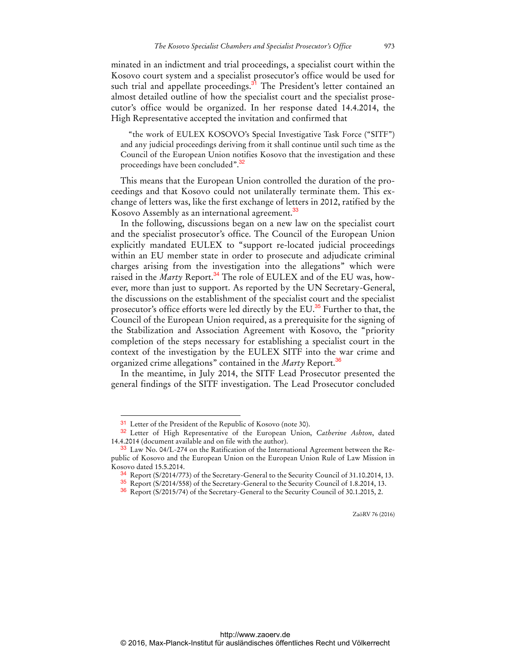minated in an indictment and trial proceedings, a specialist court within the Kosovo court system and a specialist prosecutor's office would be used for such trial and appellate proceedings.<sup>31</sup> The President's letter contained an almost detailed outline of how the specialist court and the specialist prosecutor's office would be organized. In her response dated 14.4.2014, the High Representative accepted the invitation and confirmed that

"the work of EULEX KOSOVO's Special Investigative Task Force ("SITF") and any judicial proceedings deriving from it shall continue until such time as the Council of the European Union notifies Kosovo that the investigation and these proceedings have been concluded".<sup>32</sup>

This means that the European Union controlled the duration of the proceedings and that Kosovo could not unilaterally terminate them. This exchange of letters was, like the first exchange of letters in 2012, ratified by the Kosovo Assembly as an international agreement.<sup>33</sup>

In the following, discussions began on a new law on the specialist court and the specialist prosecutor's office. The Council of the European Union explicitly mandated EULEX to "support re-located judicial proceedings within an EU member state in order to prosecute and adjudicate criminal charges arising from the investigation into the allegations" which were raised in the *Marty* Report.<sup>34</sup> The role of EULEX and of the EU was, however, more than just to support. As reported by the UN Secretary-General, the discussions on the establishment of the specialist court and the specialist prosecutor's office efforts were led directly by the EU.<sup>35</sup> Further to that, the Council of the European Union required, as a prerequisite for the signing of the Stabilization and Association Agreement with Kosovo, the "priority completion of the steps necessary for establishing a specialist court in the context of the investigation by the EULEX SITF into the war crime and organized crime allegations" contained in the *Marty* Report.<sup>36</sup>

In the meantime, in July 2014, the SITF Lead Prosecutor presented the general findings of the SITF investigation. The Lead Prosecutor concluded

<sup>&</sup>lt;sup>31</sup> Letter of the President of the Republic of Kosovo (note 30).

<sup>32</sup> Letter of High Representative of the European Union, *Catherine Ashton*, dated 14.4.2014 (document available and on file with the author).

<sup>33</sup> Law No. 04/L-274 on the Ratification of the International Agreement between the Republic of Kosovo and the European Union on the European Union Rule of Law Mission in Kosovo dated 15.5.2014.

<sup>34</sup> Report (S/2014/773) of the Secretary-General to the Security Council of 31.10.2014, 13.

<sup>35</sup> Report (S/2014/558) of the Secretary-General to the Security Council of 1.8.2014, 13.

<sup>36</sup> Report (S/2015/74) of the Secretary-General to the Security Council of 30.1.2015, 2.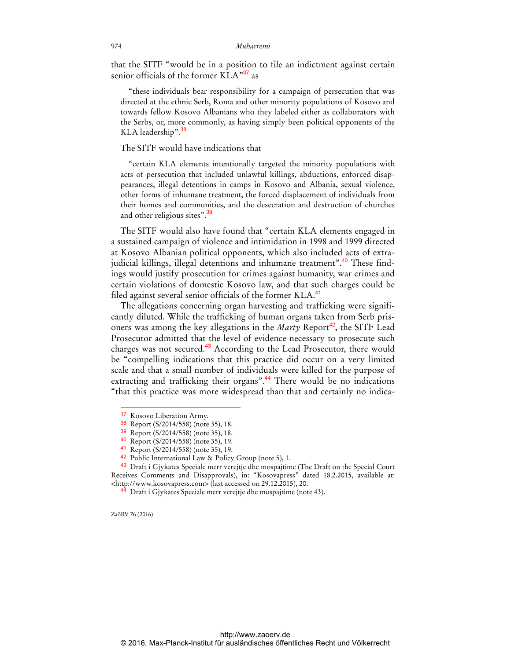that the SITF "would be in a position to file an indictment against certain senior officials of the former  $KLA^{37}$  as

"these individuals bear responsibility for a campaign of persecution that was directed at the ethnic Serb, Roma and other minority populations of Kosovo and towards fellow Kosovo Albanians who they labeled either as collaborators with the Serbs, or, more commonly, as having simply been political opponents of the KLA leadership".<sup>38</sup>

#### The SITF would have indications that

"certain KLA elements intentionally targeted the minority populations with acts of persecution that included unlawful killings, abductions, enforced disappearances, illegal detentions in camps in Kosovo and Albania, sexual violence, other forms of inhumane treatment, the forced displacement of individuals from their homes and communities, and the desecration and destruction of churches and other religious sites".<sup>39</sup>

The SITF would also have found that "certain KLA elements engaged in a sustained campaign of violence and intimidation in 1998 and 1999 directed at Kosovo Albanian political opponents, which also included acts of extrajudicial killings, illegal detentions and inhumane treatment".<sup>40</sup> These findings would justify prosecution for crimes against humanity, war crimes and certain violations of domestic Kosovo law, and that such charges could be filed against several senior officials of the former KLA.<sup>41</sup>

The allegations concerning organ harvesting and trafficking were significantly diluted. While the trafficking of human organs taken from Serb prisoners was among the key allegations in the *Marty* Report<sup>42</sup>, the SITF Lead Prosecutor admitted that the level of evidence necessary to prosecute such charges was not secured.<sup>43</sup> According to the Lead Prosecutor, there would be "compelling indications that this practice did occur on a very limited scale and that a small number of individuals were killed for the purpose of extracting and trafficking their organs".<sup>44</sup> There would be no indications "that this practice was more widespread than that and certainly no indica-

ZaöRV 76 (2016)

<sup>37</sup> Kosovo Liberation Army.

<sup>38</sup> Report (S/2014/558) (note 35), 18.

<sup>39</sup> Report (S/2014/558) (note 35), 18.

<sup>40</sup> Report (S/2014/558) (note 35), 19.

<sup>41</sup> Report (S/2014/558) (note 35), 19.

<sup>42</sup> Public International Law & Policy Group (note 5), 1.

<sup>&</sup>lt;sup>43</sup> Draft i Gjykates Speciale merr verejtje dhe mospajtime (The Draft on the Special Court Receives Comments and Disapprovals), in: "Kosovapress" dated 18.2.2015, available at: [<http://www.kosovapress.com>](http://www.kosovapress.com) (last accessed on 29.12.2015), 20.

<sup>44</sup> Draft i Gjykates Speciale merr verejtje dhe mospajtime (note 43).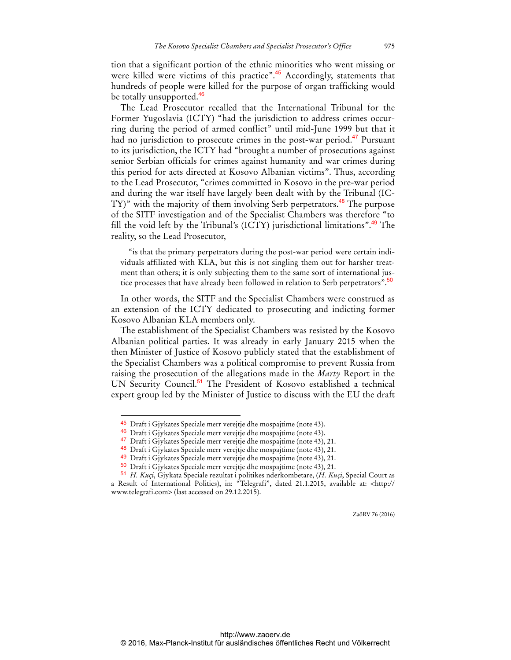tion that a significant portion of the ethnic minorities who went missing or were killed were victims of this practice".<sup>45</sup> Accordingly, statements that hundreds of people were killed for the purpose of organ trafficking would be totally unsupported.<sup>46</sup>

The Lead Prosecutor recalled that the International Tribunal for the Former Yugoslavia (ICTY) "had the jurisdiction to address crimes occurring during the period of armed conflict" until mid-June 1999 but that it had no jurisdiction to prosecute crimes in the post-war period.<sup>47</sup> Pursuant to its jurisdiction, the ICTY had "brought a number of prosecutions against senior Serbian officials for crimes against humanity and war crimes during this period for acts directed at Kosovo Albanian victims". Thus, according to the Lead Prosecutor, "crimes committed in Kosovo in the pre-war period and during the war itself have largely been dealt with by the Tribunal (IC-TY)" with the majority of them involving Serb perpetrators.<sup>48</sup> The purpose of the SITF investigation and of the Specialist Chambers was therefore "to fill the void left by the Tribunal's (ICTY) jurisdictional limitations".<sup>49</sup> The reality, so the Lead Prosecutor,

"is that the primary perpetrators during the post-war period were certain individuals affiliated with KLA, but this is not singling them out for harsher treatment than others; it is only subjecting them to the same sort of international justice processes that have already been followed in relation to Serb perpetrators".<sup>50</sup>

In other words, the SITF and the Specialist Chambers were construed as an extension of the ICTY dedicated to prosecuting and indicting former Kosovo Albanian KLA members only.

The establishment of the Specialist Chambers was resisted by the Kosovo Albanian political parties. It was already in early January 2015 when the then Minister of Justice of Kosovo publicly stated that the establishment of the Specialist Chambers was a political compromise to prevent Russia from raising the prosecution of the allegations made in the *Marty* Report in the UN Security Council.<sup>51</sup> The President of Kosovo established a technical expert group led by the Minister of Justice to discuss with the EU the draft

 $\overline{a}$ 

<sup>45</sup> Draft i Gjykates Speciale merr verejtje dhe mospajtime (note 43).

<sup>46</sup> Draft i Gjykates Speciale merr verejtje dhe mospajtime (note 43).

<sup>47</sup> Draft i Gjykates Speciale merr verejtje dhe mospajtime (note 43), 21.

<sup>48</sup> Draft i Gjykates Speciale merr verejtje dhe mospajtime (note 43), 21.

<sup>49</sup> Draft i Gjykates Speciale merr verejtje dhe mospajtime (note 43), 21.

<sup>50</sup> Draft i Gjykates Speciale merr verejtje dhe mospajtime (note 43), 21.

<sup>51</sup> *H. Kuçi*, Gjykata Speciale rezultat i politikes nderkombetare, (*H. Kuçi*, Special Court as a Result of International Politics), in: "Telegrafi", dated 21.1.2015, available at: [<http://](http://www.telegrafi.com) [www.telegrafi.com>](http://www.telegrafi.com) (last accessed on 29.12.2015).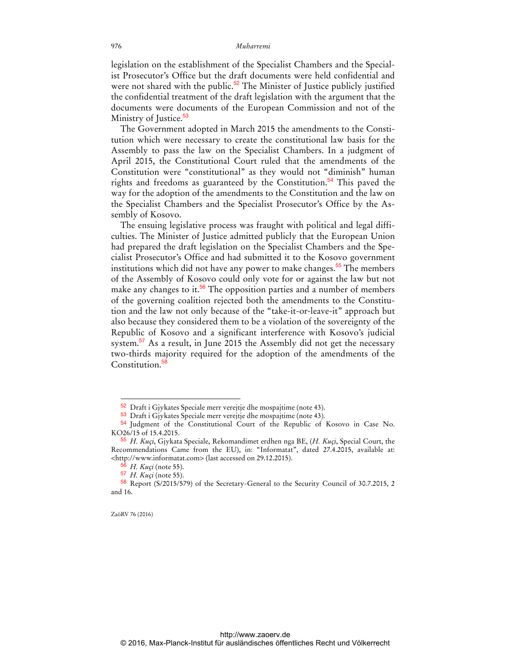legislation on the establishment of the Specialist Chambers and the Specialist Prosecutor's Office but the draft documents were held confidential and were not shared with the public.<sup>52</sup> The Minister of Justice publicly justified the confidential treatment of the draft legislation with the argument that the documents were documents of the European Commission and not of the Ministry of Justice.<sup>53</sup>

The Government adopted in March 2015 the amendments to the Constitution which were necessary to create the constitutional law basis for the Assembly to pass the law on the Specialist Chambers. In a judgment of April 2015, the Constitutional Court ruled that the amendments of the Constitution were "constitutional" as they would not "diminish" human rights and freedoms as guaranteed by the Constitution.<sup>54</sup> This paved the way for the adoption of the amendments to the Constitution and the law on the Specialist Chambers and the Specialist Prosecutor's Office by the Assembly of Kosovo.

The ensuing legislative process was fraught with political and legal difficulties. The Minister of Justice admitted publicly that the European Union had prepared the draft legislation on the Specialist Chambers and the Specialist Prosecutor's Office and had submitted it to the Kosovo government institutions which did not have any power to make changes.<sup>55</sup> The members of the Assembly of Kosovo could only vote for or against the law but not make any changes to it.<sup>56</sup> The opposition parties and a number of members of the governing coalition rejected both the amendments to the Constitution and the law not only because of the "take-it-or-leave-it" approach but also because they considered them to be a violation of the sovereignty of the Republic of Kosovo and a significant interference with Kosovo's judicial system.<sup>57</sup> As a result, in June 2015 the Assembly did not get the necessary two-thirds majority required for the adoption of the amendments of the Constitution.<sup>58</sup>

ZaöRV 76 (2016)

<sup>52</sup> Draft i Gjykates Speciale merr verejtje dhe mospajtime (note 43).

<sup>53</sup> Draft i Gjykates Speciale merr verejtje dhe mospajtime (note 43).

<sup>54</sup> Judgment of the Constitutional Court of the Republic of Kosovo in Case No. KO26/15 of 15.4.2015.

<sup>55</sup> *H. Kuçi*, Gjykata Speciale, Rekomandimet erdhen nga BE, (*H. Kuçi*, Special Court, the Recommendations Came from the EU), in: "Informatat", dated 27.4.2015, available at: [<http://www.informatat.com>](http://www.informatat.com) (last accessed on 29.12.2015).

*H. Kuçi* (note 55).

<sup>57</sup> *H. Kuçi* (note 55).

<sup>58</sup> Report (S/2015/579) of the Secretary-General to the Security Council of 30.7.2015, 2 and 16.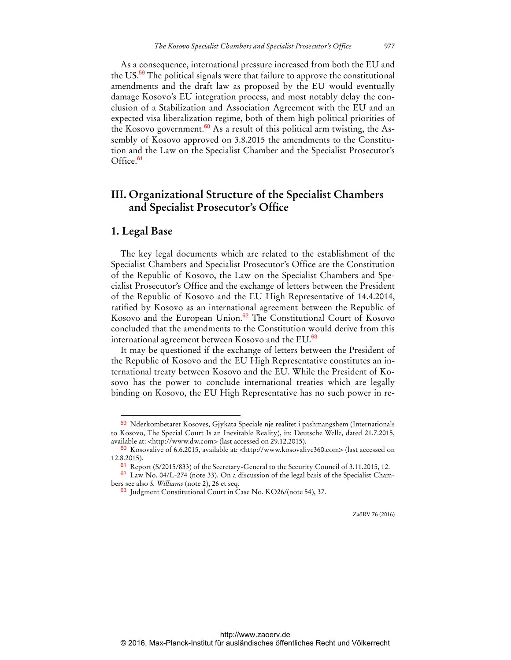As a consequence, international pressure increased from both the EU and the US.<sup>59</sup> The political signals were that failure to approve the constitutional amendments and the draft law as proposed by the EU would eventually damage Kosovo's EU integration process, and most notably delay the conclusion of a Stabilization and Association Agreement with the EU and an expected visa liberalization regime, both of them high political priorities of the Kosovo government.<sup>60</sup> As a result of this political arm twisting, the Assembly of Kosovo approved on 3.8.2015 the amendments to the Constitution and the Law on the Specialist Chamber and the Specialist Prosecutor's Office.<sup>61</sup>

## **III. Organizational Structure of the Specialist Chambers and Specialist Prosecutor's Office**

### **1. Legal Base**

 $\overline{a}$ 

The key legal documents which are related to the establishment of the Specialist Chambers and Specialist Prosecutor's Office are the Constitution of the Republic of Kosovo, the Law on the Specialist Chambers and Specialist Prosecutor's Office and the exchange of letters between the President of the Republic of Kosovo and the EU High Representative of 14.4.2014, ratified by Kosovo as an international agreement between the Republic of Kosovo and the European Union.<sup>62</sup> The Constitutional Court of Kosovo concluded that the amendments to the Constitution would derive from this international agreement between Kosovo and the EU.<sup>63</sup>

It may be questioned if the exchange of letters between the President of the Republic of Kosovo and the EU High Representative constitutes an international treaty between Kosovo and the EU. While the President of Kosovo has the power to conclude international treaties which are legally binding on Kosovo, the EU High Representative has no such power in re-

<sup>59</sup> Nderkombetaret Kosoves, Gjykata Speciale nje realitet i pashmangshem (Internationals to Kosovo, The Special Court Is an Inevitable Reality), in: Deutsche Welle, dated 21.7.2015, available at: [<http://www.dw.com>](http://www.dw.com) (last accessed on 29.12.2015).

<sup>60</sup> Kosovalive of 6.6.2015, available at: [<http://www.kosovalive360.com>](http://www.kosovalive360.com) (last accessed on 12.8.2015).

<sup>&</sup>lt;sup>61</sup> Report (S/2015/833) of the Secretary-General to the Security Council of 3.11.2015, 12.

 $62$  Law No. 04/L-274 (note 33). On a discussion of the legal basis of the Specialist Chambers see also *S. Williams* (note 2), 26 et seq.

<sup>63</sup> Judgment Constitutional Court in Case No. KO26/(note 54), 37.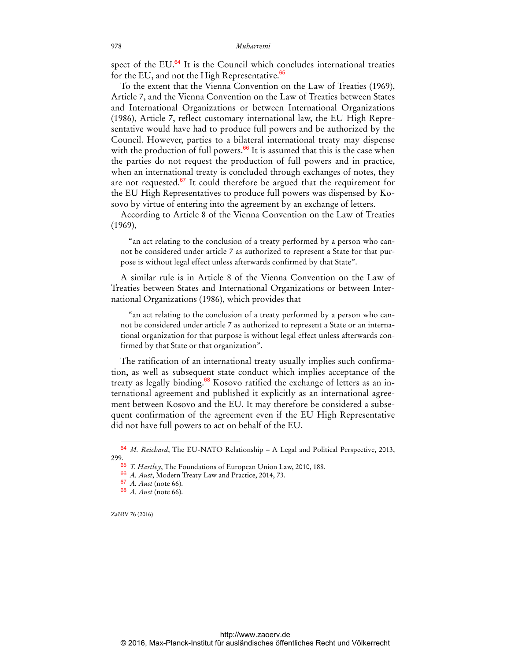spect of the EU.<sup>64</sup> It is the Council which concludes international treaties for the EU, and not the High Representative.<sup>65</sup>

To the extent that the Vienna Convention on the Law of Treaties (1969), Article 7, and the Vienna Convention on the Law of Treaties between States and International Organizations or between International Organizations (1986), Article 7, reflect customary international law, the EU High Representative would have had to produce full powers and be authorized by the Council. However, parties to a bilateral international treaty may dispense with the production of full powers. $66$  It is assumed that this is the case when the parties do not request the production of full powers and in practice, when an international treaty is concluded through exchanges of notes, they are not requested. $67$  It could therefore be argued that the requirement for the EU High Representatives to produce full powers was dispensed by Kosovo by virtue of entering into the agreement by an exchange of letters.

According to Article 8 of the Vienna Convention on the Law of Treaties (1969),

"an act relating to the conclusion of a treaty performed by a person who cannot be considered under article 7 as authorized to represent a State for that purpose is without legal effect unless afterwards confirmed by that State".

A similar rule is in Article 8 of the Vienna Convention on the Law of Treaties between States and International Organizations or between International Organizations (1986), which provides that

"an act relating to the conclusion of a treaty performed by a person who cannot be considered under article 7 as authorized to represent a State or an international organization for that purpose is without legal effect unless afterwards confirmed by that State or that organization".

The ratification of an international treaty usually implies such confirmation, as well as subsequent state conduct which implies acceptance of the treaty as legally binding.<sup>68</sup> Kosovo ratified the exchange of letters as an international agreement and published it explicitly as an international agreement between Kosovo and the EU. It may therefore be considered a subsequent confirmation of the agreement even if the EU High Representative did not have full powers to act on behalf of the EU.

ZaöRV 76 (2016)

<sup>64</sup> *M. Reichard*, The EU-NATO Relationship – A Legal and Political Perspective, 2013, 299.

<sup>65</sup> *T. Hartley*, The Foundations of European Union Law, 2010, 188.

<sup>66</sup> *A. Aust*, Modern Treaty Law and Practice, 2014, 73.

<sup>67</sup> *A. Aust* (note 66).

<sup>68</sup> *A. Aust* (note 66).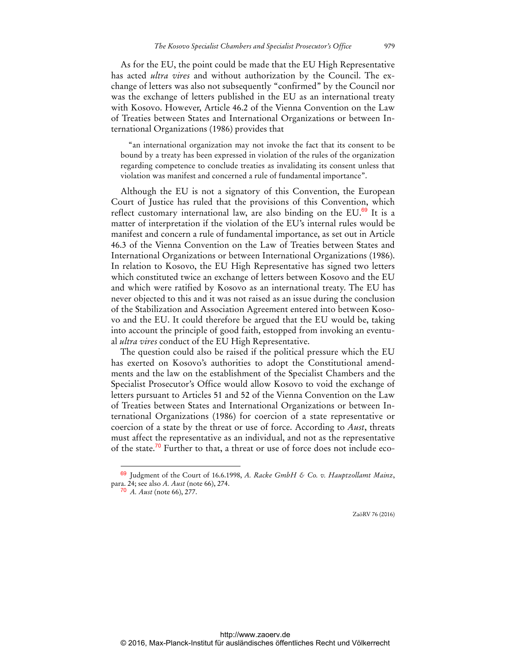As for the EU, the point could be made that the EU High Representative has acted *ultra vires* and without authorization by the Council. The exchange of letters was also not subsequently "confirmed" by the Council nor was the exchange of letters published in the EU as an international treaty with Kosovo. However, Article 46.2 of the Vienna Convention on the Law of Treaties between States and International Organizations or between International Organizations (1986) provides that

"an international organization may not invoke the fact that its consent to be bound by a treaty has been expressed in violation of the rules of the organization regarding competence to conclude treaties as invalidating its consent unless that violation was manifest and concerned a rule of fundamental importance".

Although the EU is not a signatory of this Convention, the European Court of Justice has ruled that the provisions of this Convention, which reflect customary international law, are also binding on the EU.<sup>69</sup> It is a matter of interpretation if the violation of the EU's internal rules would be manifest and concern a rule of fundamental importance, as set out in Article 46.3 of the Vienna Convention on the Law of Treaties between States and International Organizations or between International Organizations (1986). In relation to Kosovo, the EU High Representative has signed two letters which constituted twice an exchange of letters between Kosovo and the EU and which were ratified by Kosovo as an international treaty. The EU has never objected to this and it was not raised as an issue during the conclusion of the Stabilization and Association Agreement entered into between Kosovo and the EU. It could therefore be argued that the EU would be, taking into account the principle of good faith, estopped from invoking an eventual *ultra vires* conduct of the EU High Representative.

The question could also be raised if the political pressure which the EU has exerted on Kosovo's authorities to adopt the Constitutional amendments and the law on the establishment of the Specialist Chambers and the Specialist Prosecutor's Office would allow Kosovo to void the exchange of letters pursuant to Articles 51 and 52 of the Vienna Convention on the Law of Treaties between States and International Organizations or between International Organizations (1986) for coercion of a state representative or coercion of a state by the threat or use of force. According to *Aust*, threats must affect the representative as an individual, and not as the representative of the state.<sup>70</sup> Further to that, a threat or use of force does not include eco-

 $\overline{a}$ 

<sup>69</sup> Judgment of the Court of 16.6.1998, *A. Racke GmbH & Co. v. Hauptzollamt Mainz*, para. 24; see also *A. Aust* (note 66), 274.

<sup>70</sup> *A. Aust* (note 66), 277.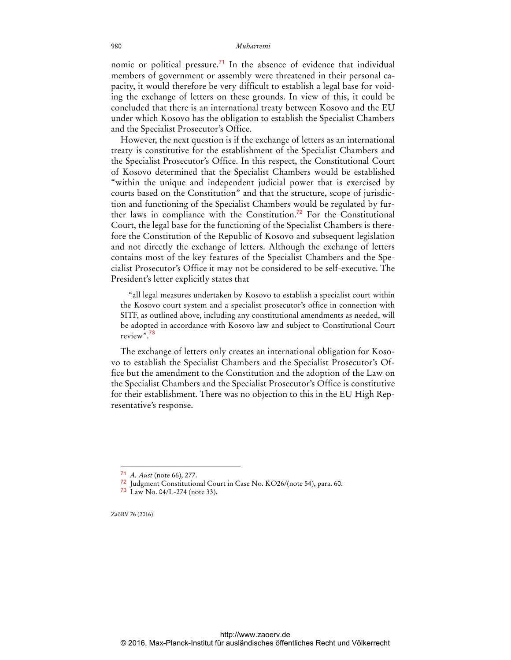nomic or political pressure.<sup>71</sup> In the absence of evidence that individual members of government or assembly were threatened in their personal capacity, it would therefore be very difficult to establish a legal base for voiding the exchange of letters on these grounds. In view of this, it could be concluded that there is an international treaty between Kosovo and the EU under which Kosovo has the obligation to establish the Specialist Chambers and the Specialist Prosecutor's Office.

However, the next question is if the exchange of letters as an international treaty is constitutive for the establishment of the Specialist Chambers and the Specialist Prosecutor's Office. In this respect, the Constitutional Court of Kosovo determined that the Specialist Chambers would be established "within the unique and independent judicial power that is exercised by courts based on the Constitution" and that the structure, scope of jurisdiction and functioning of the Specialist Chambers would be regulated by further laws in compliance with the Constitution.<sup>72</sup> For the Constitutional Court, the legal base for the functioning of the Specialist Chambers is therefore the Constitution of the Republic of Kosovo and subsequent legislation and not directly the exchange of letters. Although the exchange of letters contains most of the key features of the Specialist Chambers and the Specialist Prosecutor's Office it may not be considered to be self-executive. The President's letter explicitly states that

"all legal measures undertaken by Kosovo to establish a specialist court within the Kosovo court system and a specialist prosecutor's office in connection with SITF, as outlined above, including any constitutional amendments as needed, will be adopted in accordance with Kosovo law and subject to Constitutional Court review".<sup>73</sup>

The exchange of letters only creates an international obligation for Kosovo to establish the Specialist Chambers and the Specialist Prosecutor's Office but the amendment to the Constitution and the adoption of the Law on the Specialist Chambers and the Specialist Prosecutor's Office is constitutive for their establishment. There was no objection to this in the EU High Representative's response.

ZaöRV 76 (2016)

<sup>71</sup> *A. Aust* (note 66), 277.

<sup>72</sup> Judgment Constitutional Court in Case No. KO26/(note 54), para. 60.

<sup>73</sup> Law No. 04/L-274 (note 33).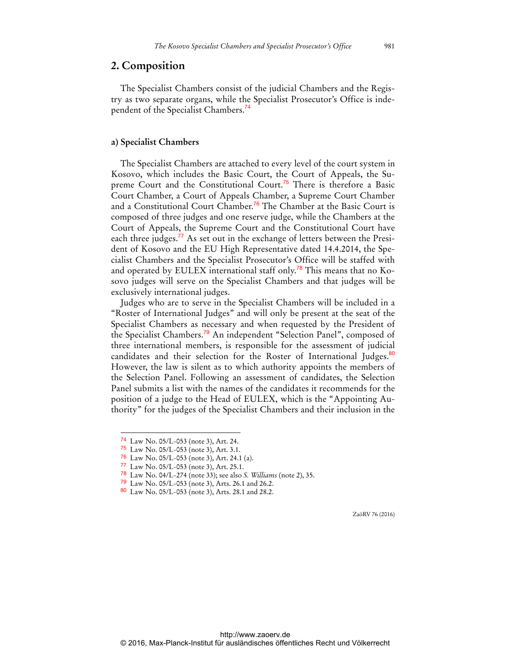#### **2. Composition**

The Specialist Chambers consist of the judicial Chambers and the Registry as two separate organs, while the Specialist Prosecutor's Office is independent of the Specialist Chambers.<sup>74</sup>

#### **a) Specialist Chambers**

The Specialist Chambers are attached to every level of the court system in Kosovo, which includes the Basic Court, the Court of Appeals, the Supreme Court and the Constitutional Court.<sup>75</sup> There is therefore a Basic Court Chamber, a Court of Appeals Chamber, a Supreme Court Chamber and a Constitutional Court Chamber.<sup>76</sup> The Chamber at the Basic Court is composed of three judges and one reserve judge, while the Chambers at the Court of Appeals, the Supreme Court and the Constitutional Court have each three judges.<sup>77</sup> As set out in the exchange of letters between the President of Kosovo and the EU High Representative dated 14.4.2014, the Specialist Chambers and the Specialist Prosecutor's Office will be staffed with and operated by EULEX international staff only.<sup>78</sup> This means that no Kosovo judges will serve on the Specialist Chambers and that judges will be exclusively international judges.

Judges who are to serve in the Specialist Chambers will be included in a "Roster of International Judges" and will only be present at the seat of the Specialist Chambers as necessary and when requested by the President of the Specialist Chambers.<sup>79</sup> An independent "Selection Panel", composed of three international members, is responsible for the assessment of judicial candidates and their selection for the Roster of International Judges.<sup>80</sup> However, the law is silent as to which authority appoints the members of the Selection Panel. Following an assessment of candidates, the Selection Panel submits a list with the names of the candidates it recommends for the position of a judge to the Head of EULEX, which is the "Appointing Authority" for the judges of the Specialist Chambers and their inclusion in the

 $\overline{a}$ 

- 76 Law No. 05/L-053 (note 3), Art. 24.1 (a).
- 77 Law No. 05/L-053 (note 3), Art. 25.1.
- 78 Law No. 04/L-274 (note 33); see also *S. Williams* (note 2), 35.
- 79 Law No. 05/L-053 (note 3), Arts. 26.1 and 26.2.
- 80 Law No. 05/L-053 (note 3), Arts. 28.1 and 28.2.

<sup>74</sup> Law No. 05/L-053 (note 3), Art. 24.

<sup>75</sup> Law No. 05/L-053 (note 3), Art. 3.1.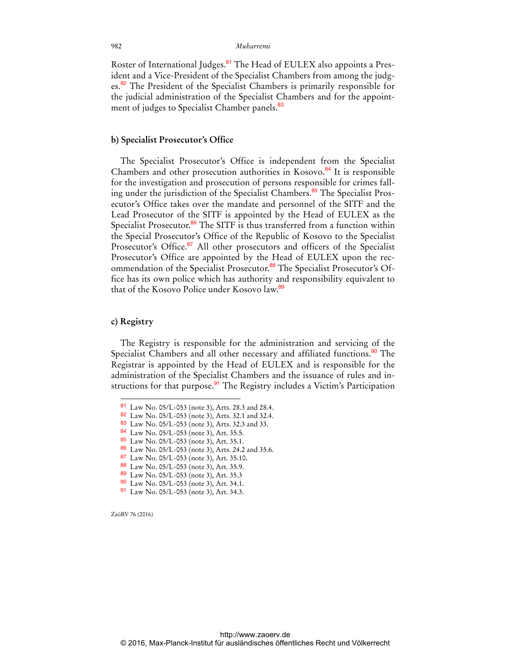Roster of International Judges.<sup>81</sup> The Head of EULEX also appoints a President and a Vice-President of the Specialist Chambers from among the judges.<sup>82</sup> The President of the Specialist Chambers is primarily responsible for the judicial administration of the Specialist Chambers and for the appointment of judges to Specialist Chamber panels.<sup>83</sup>

#### **b) Specialist Prosecutor's Office**

The Specialist Prosecutor's Office is independent from the Specialist Chambers and other prosecution authorities in Kosovo.<sup>84</sup> It is responsible for the investigation and prosecution of persons responsible for crimes falling under the jurisdiction of the Specialist Chambers.<sup>85</sup> The Specialist Prosecutor's Office takes over the mandate and personnel of the SITF and the Lead Prosecutor of the SITF is appointed by the Head of EULEX as the Specialist Prosecutor.<sup>86</sup> The SITF is thus transferred from a function within the Special Prosecutor's Office of the Republic of Kosovo to the Specialist Prosecutor's Office.<sup>87</sup> All other prosecutors and officers of the Specialist Prosecutor's Office are appointed by the Head of EULEX upon the recommendation of the Specialist Prosecutor.<sup>88</sup> The Specialist Prosecutor's Office has its own police which has authority and responsibility equivalent to that of the Kosovo Police under Kosovo law.<sup>89</sup>

#### **c) Registry**

 $\overline{a}$ 

The Registry is responsible for the administration and servicing of the Specialist Chambers and all other necessary and affiliated functions.<sup>90</sup> The Registrar is appointed by the Head of EULEX and is responsible for the administration of the Specialist Chambers and the issuance of rules and instructions for that purpose.<sup>91</sup> The Registry includes a Victim's Participation

- 85 Law No. 05/L-053 (note 3), Art. 35.1.
- 86 Law No. 05/L-053 (note 3), Arts. 24.2 and 35.6.
- 87 Law No. 05/L-053 (note 3), Art. 35.10.
- 88 Law No. 05/L-053 (note 3), Art. 35.9.
- 89 Law No. 05/L-053 (note 3), Art. 35.3

<sup>81</sup> Law No. 05/L-053 (note 3), Arts. 28.3 and 28.4.

<sup>82</sup> Law No. 05/L-053 (note 3), Arts. 32.1 and 32.4.

<sup>83</sup> Law No. 05/L-053 (note 3), Arts. 32.3 and 33.

<sup>84</sup> Law No. 05/L-053 (note 3), Art. 35.5.

<sup>90</sup> Law No. 05/L-053 (note 3), Art. 34.1.

<sup>91</sup> Law No. 05/L-053 (note 3), Art. 34.3.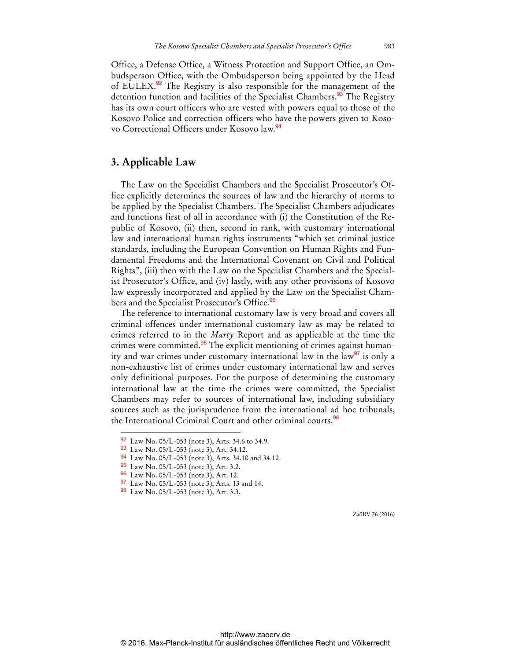Office, a Defense Office, a Witness Protection and Support Office, an Ombudsperson Office, with the Ombudsperson being appointed by the Head of EULEX.<sup>92</sup> The Registry is also responsible for the management of the detention function and facilities of the Specialist Chambers.<sup>93</sup> The Registry has its own court officers who are vested with powers equal to those of the Kosovo Police and correction officers who have the powers given to Kosovo Correctional Officers under Kosovo law.<sup>94</sup>

### **3. Applicable Law**

The Law on the Specialist Chambers and the Specialist Prosecutor's Office explicitly determines the sources of law and the hierarchy of norms to be applied by the Specialist Chambers. The Specialist Chambers adjudicates and functions first of all in accordance with (i) the Constitution of the Republic of Kosovo, (ii) then, second in rank, with customary international law and international human rights instruments "which set criminal justice standards, including the European Convention on Human Rights and Fundamental Freedoms and the International Covenant on Civil and Political Rights", (iii) then with the Law on the Specialist Chambers and the Specialist Prosecutor's Office, and (iv) lastly, with any other provisions of Kosovo law expressly incorporated and applied by the Law on the Specialist Chambers and the Specialist Prosecutor's Office.<sup>95</sup>

The reference to international customary law is very broad and covers all criminal offences under international customary law as may be related to crimes referred to in the *Marty* Report and as applicable at the time the crimes were committed.<sup>96</sup> The explicit mentioning of crimes against humanity and war crimes under customary international law in the  $\text{law}^{\mathcal{F}}$  is only a non-exhaustive list of crimes under customary international law and serves only definitional purposes. For the purpose of determining the customary international law at the time the crimes were committed, the Specialist Chambers may refer to sources of international law, including subsidiary sources such as the jurisprudence from the international ad hoc tribunals, the International Criminal Court and other criminal courts.<sup>98</sup>

 $\overline{a}$ 

<sup>92</sup> Law No. 05/L-053 (note 3), Arts. 34.6 to 34.9.

<sup>93</sup> Law No. 05/L-053 (note 3), Art. 34.12.

<sup>94</sup> Law No. 05/L-053 (note 3), Arts. 34.10 and 34.12.

<sup>95</sup> Law No. 05/L-053 (note 3), Art. 3.2.

<sup>96</sup> Law No. 05/L-053 (note 3), Art. 12.

<sup>97</sup> Law No. 05/L-053 (note 3), Arts. 13 and 14.

<sup>98</sup> Law No. 05/L-053 (note 3), Art. 3.3.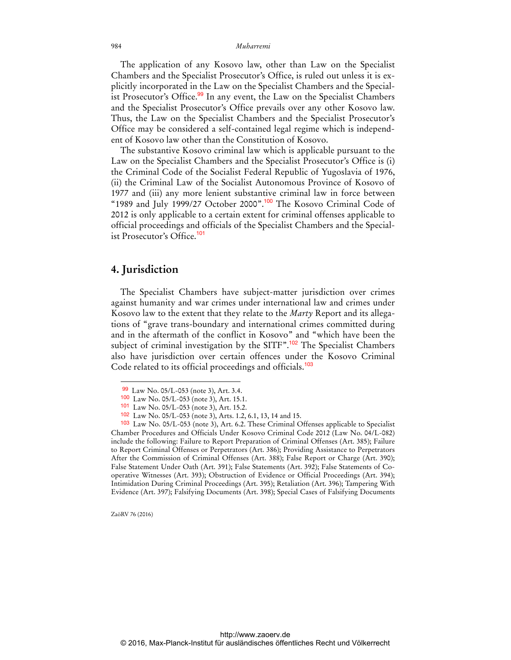The application of any Kosovo law, other than Law on the Specialist Chambers and the Specialist Prosecutor's Office, is ruled out unless it is explicitly incorporated in the Law on the Specialist Chambers and the Specialist Prosecutor's Office.<sup>99</sup> In any event, the Law on the Specialist Chambers and the Specialist Prosecutor's Office prevails over any other Kosovo law. Thus, the Law on the Specialist Chambers and the Specialist Prosecutor's Office may be considered a self-contained legal regime which is independent of Kosovo law other than the Constitution of Kosovo.

The substantive Kosovo criminal law which is applicable pursuant to the Law on the Specialist Chambers and the Specialist Prosecutor's Office is (i) the Criminal Code of the Socialist Federal Republic of Yugoslavia of 1976, (ii) the Criminal Law of the Socialist Autonomous Province of Kosovo of 1977 and (iii) any more lenient substantive criminal law in force between "1989 and July 1999/27 October 2000".<sup>100</sup> The Kosovo Criminal Code of 2012 is only applicable to a certain extent for criminal offenses applicable to official proceedings and officials of the Specialist Chambers and the Specialist Prosecutor's Office.<sup>101</sup>

## **4. Jurisdiction**

The Specialist Chambers have subject-matter jurisdiction over crimes against humanity and war crimes under international law and crimes under Kosovo law to the extent that they relate to the *Marty* Report and its allegations of "grave trans-boundary and international crimes committed during and in the aftermath of the conflict in Kosovo" and "which have been the subject of criminal investigation by the SITF".<sup>102</sup> The Specialist Chambers also have jurisdiction over certain offences under the Kosovo Criminal Code related to its official proceedings and officials.<sup>103</sup>

ZaöRV 76 (2016)

<sup>99</sup> Law No. 05/L-053 (note 3), Art. 3.4.

<sup>100</sup> Law No. 05/L-053 (note 3), Art. 15.1.

<sup>101</sup> Law No. 05/L-053 (note 3), Art. 15.2.

<sup>102</sup> Law No. 05/L-053 (note 3), Arts. 1.2, 6.1, 13, 14 and 15.

<sup>103</sup> Law No. 05/L-053 (note 3), Art. 6.2. These Criminal Offenses applicable to Specialist Chamber Procedures and Officials Under Kosovo Criminal Code 2012 (Law No. 04/L-082) include the following: Failure to Report Preparation of Criminal Offenses (Art. 385); Failure to Report Criminal Offenses or Perpetrators (Art. 386); Providing Assistance to Perpetrators After the Commission of Criminal Offenses (Art. 388); False Report or Charge (Art. 390); False Statement Under Oath (Art. 391); False Statements (Art. 392); False Statements of Cooperative Witnesses (Art. 393); Obstruction of Evidence or Official Proceedings (Art. 394); Intimidation During Criminal Proceedings (Art. 395); Retaliation (Art. 396); Tampering With Evidence (Art. 397); Falsifying Documents (Art. 398); Special Cases of Falsifying Documents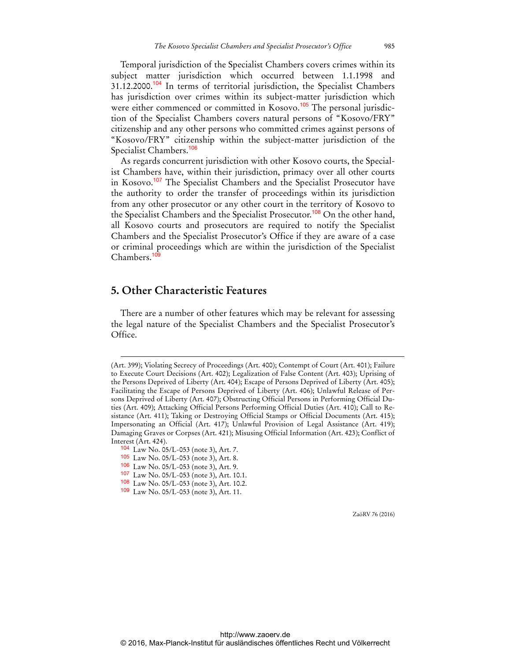Temporal jurisdiction of the Specialist Chambers covers crimes within its subject matter jurisdiction which occurred between 1.1.1998 and 31.12.2000.<sup>104</sup> In terms of territorial jurisdiction, the Specialist Chambers has jurisdiction over crimes within its subject-matter jurisdiction which were either commenced or committed in Kosovo.<sup>105</sup> The personal jurisdiction of the Specialist Chambers covers natural persons of "Kosovo/FRY" citizenship and any other persons who committed crimes against persons of "Kosovo/FRY" citizenship within the subject-matter jurisdiction of the Specialist Chambers.<sup>106</sup>

As regards concurrent jurisdiction with other Kosovo courts, the Specialist Chambers have, within their jurisdiction, primacy over all other courts in Kosovo.<sup>107</sup> The Specialist Chambers and the Specialist Prosecutor have the authority to order the transfer of proceedings within its jurisdiction from any other prosecutor or any other court in the territory of Kosovo to the Specialist Chambers and the Specialist Prosecutor.<sup>108</sup> On the other hand, all Kosovo courts and prosecutors are required to notify the Specialist Chambers and the Specialist Prosecutor's Office if they are aware of a case or criminal proceedings which are within the jurisdiction of the Specialist Chambers.<sup>109</sup>

## **5. Other Characteristic Features**

There are a number of other features which may be relevant for assessing the legal nature of the Specialist Chambers and the Specialist Prosecutor's Office.

 $\overline{a}$ 

<sup>(</sup>Art. 399); Violating Secrecy of Proceedings (Art. 400); Contempt of Court (Art. 401); Failure to Execute Court Decisions (Art. 402); Legalization of False Content (Art. 403); Uprising of the Persons Deprived of Liberty (Art. 404); Escape of Persons Deprived of Liberty (Art. 405); Facilitating the Escape of Persons Deprived of Liberty (Art. 406); Unlawful Release of Persons Deprived of Liberty (Art. 407); Obstructing Official Persons in Performing Official Duties (Art. 409); Attacking Official Persons Performing Official Duties (Art. 410); Call to Resistance (Art. 411); Taking or Destroying Official Stamps or Official Documents (Art. 415); Impersonating an Official (Art. 417); Unlawful Provision of Legal Assistance (Art. 419); Damaging Graves or Corpses (Art. 421); Misusing Official Information (Art. 423); Conflict of Interest (Art. 424).

<sup>104</sup> Law No. 05/L-053 (note 3), Art. 7.

<sup>105</sup> Law No. 05/L-053 (note 3), Art. 8.

<sup>106</sup> Law No. 05/L-053 (note 3), Art. 9.

<sup>107</sup> Law No. 05/L-053 (note 3), Art. 10.1.

<sup>108</sup> Law No. 05/L-053 (note 3), Art. 10.2.

<sup>109</sup> Law No. 05/L-053 (note 3), Art. 11.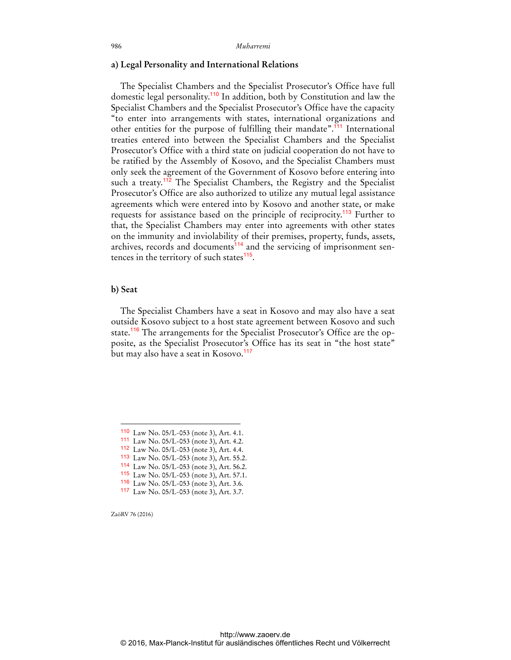#### **a) Legal Personality and International Relations**

The Specialist Chambers and the Specialist Prosecutor's Office have full domestic legal personality.<sup>110</sup> In addition, both by Constitution and law the Specialist Chambers and the Specialist Prosecutor's Office have the capacity "to enter into arrangements with states, international organizations and other entities for the purpose of fulfilling their mandate".<sup>111</sup> International treaties entered into between the Specialist Chambers and the Specialist Prosecutor's Office with a third state on judicial cooperation do not have to be ratified by the Assembly of Kosovo, and the Specialist Chambers must only seek the agreement of the Government of Kosovo before entering into such a treaty.<sup>112</sup> The Specialist Chambers, the Registry and the Specialist Prosecutor's Office are also authorized to utilize any mutual legal assistance agreements which were entered into by Kosovo and another state, or make requests for assistance based on the principle of reciprocity.<sup>113</sup> Further to that, the Specialist Chambers may enter into agreements with other states on the immunity and inviolability of their premises, property, funds, assets, archives, records and documents<sup>114</sup> and the servicing of imprisonment sentences in the territory of such states $115$ .

#### **b) Seat**

The Specialist Chambers have a seat in Kosovo and may also have a seat outside Kosovo subject to a host state agreement between Kosovo and such state.<sup>116</sup> The arrangements for the Specialist Prosecutor's Office are the opposite, as the Specialist Prosecutor's Office has its seat in "the host state" but may also have a seat in Kosovo.<sup>117</sup>

ZaöRV 76 (2016)

<sup>110</sup> Law No. 05/L-053 (note 3), Art. 4.1.

<sup>111</sup> Law No. 05/L-053 (note 3), Art. 4.2.

<sup>112</sup> Law No. 05/L-053 (note 3), Art. 4.4.

<sup>113</sup> Law No. 05/L-053 (note 3), Art. 55.2.

<sup>114</sup> Law No. 05/L-053 (note 3), Art. 56.2.

<sup>115</sup> Law No. 05/L-053 (note 3), Art. 57.1. 116 Law No. 05/L-053 (note 3), Art. 3.6.

<sup>117</sup> Law No. 05/L-053 (note 3), Art. 3.7.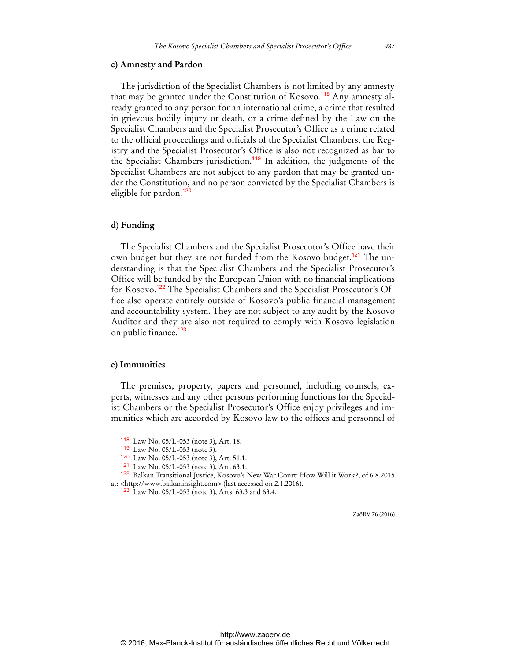#### **c) Amnesty and Pardon**

The jurisdiction of the Specialist Chambers is not limited by any amnesty that may be granted under the Constitution of Kosovo.<sup>118</sup> Any amnesty already granted to any person for an international crime, a crime that resulted in grievous bodily injury or death, or a crime defined by the Law on the Specialist Chambers and the Specialist Prosecutor's Office as a crime related to the official proceedings and officials of the Specialist Chambers, the Registry and the Specialist Prosecutor's Office is also not recognized as bar to the Specialist Chambers jurisdiction.<sup>119</sup> In addition, the judgments of the Specialist Chambers are not subject to any pardon that may be granted under the Constitution, and no person convicted by the Specialist Chambers is eligible for pardon.<sup>120</sup>

#### **d) Funding**

The Specialist Chambers and the Specialist Prosecutor's Office have their own budget but they are not funded from the Kosovo budget.<sup>121</sup> The understanding is that the Specialist Chambers and the Specialist Prosecutor's Office will be funded by the European Union with no financial implications for Kosovo.<sup>122</sup> The Specialist Chambers and the Specialist Prosecutor's Office also operate entirely outside of Kosovo's public financial management and accountability system. They are not subject to any audit by the Kosovo Auditor and they are also not required to comply with Kosovo legislation on public finance.<sup>123</sup>

#### **e) Immunities**

 $\overline{a}$ 

The premises, property, papers and personnel, including counsels, experts, witnesses and any other persons performing functions for the Specialist Chambers or the Specialist Prosecutor's Office enjoy privileges and immunities which are accorded by Kosovo law to the offices and personnel of

<sup>118</sup> Law No. 05/L-053 (note 3), Art. 18.

<sup>119</sup> Law No. 05/L-053 (note 3).

<sup>120</sup> Law No. 05/L-053 (note 3), Art. 51.1.

<sup>121</sup> Law No. 05/L-053 (note 3), Art. 63.1.

<sup>122</sup> Balkan Transitional Justice, Kosovo's New War Court: How Will it Work?, of 6.8.2015 at: [<http://www.balkaninsight.com>](http://www.balkaninsight.com) (last accessed on 2.1.2016).

<sup>123</sup> Law No. 05/L-053 (note 3), Arts. 63.3 and 63.4.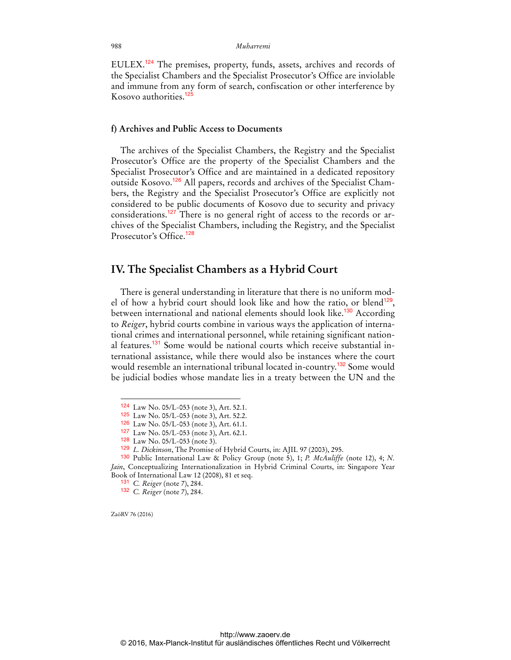EULEX.<sup>124</sup> The premises, property, funds, assets, archives and records of the Specialist Chambers and the Specialist Prosecutor's Office are inviolable and immune from any form of search, confiscation or other interference by Kosovo authorities.<sup>12</sup>

### **f) Archives and Public Access to Documents**

The archives of the Specialist Chambers, the Registry and the Specialist Prosecutor's Office are the property of the Specialist Chambers and the Specialist Prosecutor's Office and are maintained in a dedicated repository outside Kosovo.<sup>126</sup> All papers, records and archives of the Specialist Chambers, the Registry and the Specialist Prosecutor's Office are explicitly not considered to be public documents of Kosovo due to security and privacy considerations.<sup>127</sup> There is no general right of access to the records or archives of the Specialist Chambers, including the Registry, and the Specialist Prosecutor's Office<sup>128</sup>

### **IV. The Specialist Chambers as a Hybrid Court**

There is general understanding in literature that there is no uniform model of how a hybrid court should look like and how the ratio, or blend<sup>129</sup>, between international and national elements should look like.<sup>130</sup> According to *Reiger*, hybrid courts combine in various ways the application of international crimes and international personnel, while retaining significant national features.<sup>131</sup> Some would be national courts which receive substantial international assistance, while there would also be instances where the court would resemble an international tribunal located in-country.<sup>132</sup> Some would be judicial bodies whose mandate lies in a treaty between the UN and the

ZaöRV 76 (2016)

<sup>124</sup> Law No. 05/L-053 (note 3), Art. 52.1.

<sup>125</sup> Law No. 05/L-053 (note 3), Art. 52.2.

<sup>126</sup> Law No. 05/L-053 (note 3), Art. 61.1.

<sup>127</sup> Law No. 05/L-053 (note 3), Art. 62.1.

<sup>128</sup> Law No. 05/L-053 (note 3).

<sup>129</sup> *L. Dickinson*, The Promise of Hybrid Courts, in: AJIL 97 (2003), 295.

<sup>130</sup> Public International Law & Policy Group (note 5), 1; *P. McAuliffe* (note 12), 4; *N. Jain*, Conceptualizing Internationalization in Hybrid Criminal Courts, in: Singapore Year Book of International Law 12 (2008), 81 et seq.

<sup>131</sup> *C. Reiger* (note 7), 284.

<sup>132</sup> *C. Reiger* (note 7), 284.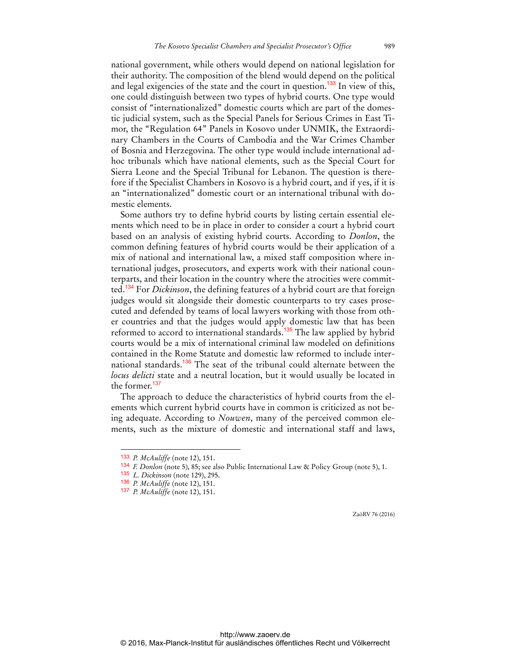national government, while others would depend on national legislation for their authority. The composition of the blend would depend on the political and legal exigencies of the state and the court in question.<sup>133</sup> In view of this, one could distinguish between two types of hybrid courts. One type would consist of "internationalized" domestic courts which are part of the domestic judicial system, such as the Special Panels for Serious Crimes in East Timor, the "Regulation 64" Panels in Kosovo under UNMIK, the Extraordinary Chambers in the Courts of Cambodia and the War Crimes Chamber of Bosnia and Herzegovina. The other type would include international adhoc tribunals which have national elements, such as the Special Court for Sierra Leone and the Special Tribunal for Lebanon. The question is therefore if the Specialist Chambers in Kosovo is a hybrid court, and if yes, if it is an "internationalized" domestic court or an international tribunal with domestic elements.

Some authors try to define hybrid courts by listing certain essential elements which need to be in place in order to consider a court a hybrid court based on an analysis of existing hybrid courts. According to *Donlon*, the common defining features of hybrid courts would be their application of a mix of national and international law, a mixed staff composition where international judges, prosecutors, and experts work with their national counterparts, and their location in the country where the atrocities were committed.<sup>134</sup> For *Dickinson*, the defining features of a hybrid court are that foreign judges would sit alongside their domestic counterparts to try cases prosecuted and defended by teams of local lawyers working with those from other countries and that the judges would apply domestic law that has been reformed to accord to international standards.<sup>135</sup> The law applied by hybrid courts would be a mix of international criminal law modeled on definitions contained in the Rome Statute and domestic law reformed to include international standards.<sup>136</sup> The seat of the tribunal could alternate between the *locus delicti* state and a neutral location, but it would usually be located in the former.<sup>137</sup>

The approach to deduce the characteristics of hybrid courts from the elements which current hybrid courts have in common is criticized as not being adequate. According to *Nouwen*, many of the perceived common elements, such as the mixture of domestic and international staff and laws,

 $\overline{a}$ 

<sup>133</sup> *P. McAuliffe* (note 12), 151.

<sup>134</sup> *F. Donlon* (note 5), 85; see also Public International Law & Policy Group (note 5), 1.

<sup>135</sup> *L. Dickinson* (note 129), 295.

<sup>136</sup> *P. McAuliffe* (note 12), 151.

<sup>137</sup> *P. McAuliffe* (note 12), 151.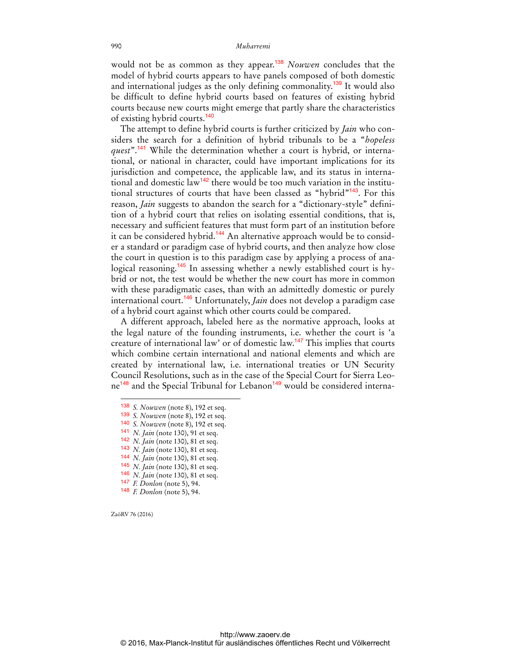would not be as common as they appear.<sup>138</sup> *Nouwen* concludes that the model of hybrid courts appears to have panels composed of both domestic and international judges as the only defining commonality.<sup>139</sup> It would also be difficult to define hybrid courts based on features of existing hybrid courts because new courts might emerge that partly share the characteristics of existing hybrid courts.<sup>140</sup>

The attempt to define hybrid courts is further criticized by *Jain* who considers the search for a definition of hybrid tribunals to be a "*hopeless quest*".<sup>141</sup> While the determination whether a court is hybrid, or international, or national in character, could have important implications for its jurisdiction and competence, the applicable law, and its status in international and domestic law<sup>142</sup> there would be too much variation in the institutional structures of courts that have been classed as "hybrid"<sup>143</sup>. For this reason, *Jain* suggests to abandon the search for a "dictionary-style" definition of a hybrid court that relies on isolating essential conditions, that is, necessary and sufficient features that must form part of an institution before it can be considered hybrid.<sup>144</sup> An alternative approach would be to consider a standard or paradigm case of hybrid courts, and then analyze how close the court in question is to this paradigm case by applying a process of analogical reasoning.<sup>145</sup> In assessing whether a newly established court is hybrid or not, the test would be whether the new court has more in common with these paradigmatic cases, than with an admittedly domestic or purely international court.<sup>146</sup> Unfortunately, *Jain* does not develop a paradigm case of a hybrid court against which other courts could be compared.

A different approach, labeled here as the normative approach, looks at the legal nature of the founding instruments, i.e. whether the court is 'a creature of international law' or of domestic law.<sup>147</sup> This implies that courts which combine certain international and national elements and which are created by international law, i.e. international treaties or UN Security Council Resolutions, such as in the case of the Special Court for Sierra Leone<sup>148</sup> and the Special Tribunal for Lebanon<sup>149</sup> would be considered interna-

- 142 *N. Jain* (note 130), 81 et seq.
- 143 *N. Jain* (note 130), 81 et seq.
- 144 *N. Jain* (note 130), 81 et seq. 145 *N. Jain* (note 130), 81 et seq.
- 146 *N. Jain* (note 130), 81 et seq.
- 147 *F. Donlon* (note 5), 94.
- 
- 148 *F. Donlon* (note 5), 94.

ZaöRV 76 (2016)

<sup>138</sup> *S. Nouwen* (note 8), 192 et seq.

<sup>139</sup> *S. Nouwen* (note 8), 192 et seq.

<sup>140</sup> *S. Nouwen* (note 8), 192 et seq.

<sup>141</sup> *N. Jain* (note 130), 91 et seq.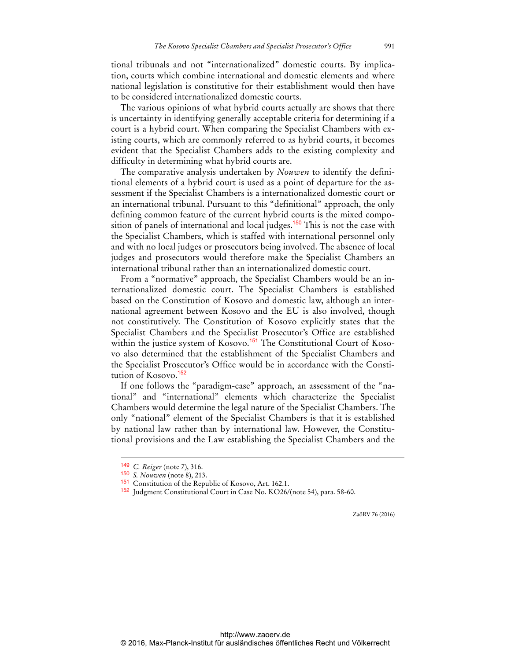tional tribunals and not "internationalized" domestic courts. By implication, courts which combine international and domestic elements and where national legislation is constitutive for their establishment would then have to be considered internationalized domestic courts.

The various opinions of what hybrid courts actually are shows that there is uncertainty in identifying generally acceptable criteria for determining if a court is a hybrid court. When comparing the Specialist Chambers with existing courts, which are commonly referred to as hybrid courts, it becomes evident that the Specialist Chambers adds to the existing complexity and difficulty in determining what hybrid courts are.

The comparative analysis undertaken by *Nouwen* to identify the definitional elements of a hybrid court is used as a point of departure for the assessment if the Specialist Chambers is a internationalized domestic court or an international tribunal. Pursuant to this "definitional" approach, the only defining common feature of the current hybrid courts is the mixed composition of panels of international and local judges.<sup>150</sup> This is not the case with the Specialist Chambers, which is staffed with international personnel only and with no local judges or prosecutors being involved. The absence of local judges and prosecutors would therefore make the Specialist Chambers an international tribunal rather than an internationalized domestic court.

From a "normative" approach, the Specialist Chambers would be an internationalized domestic court. The Specialist Chambers is established based on the Constitution of Kosovo and domestic law, although an international agreement between Kosovo and the EU is also involved, though not constitutively. The Constitution of Kosovo explicitly states that the Specialist Chambers and the Specialist Prosecutor's Office are established within the justice system of Kosovo.<sup>151</sup> The Constitutional Court of Kosovo also determined that the establishment of the Specialist Chambers and the Specialist Prosecutor's Office would be in accordance with the Constitution of Kosovo.<sup>152</sup>

If one follows the "paradigm-case" approach, an assessment of the "national" and "international" elements which characterize the Specialist Chambers would determine the legal nature of the Specialist Chambers. The only "national" element of the Specialist Chambers is that it is established by national law rather than by international law. However, the Constitutional provisions and the Law establishing the Specialist Chambers and the

 $\overline{a}$ 

<sup>149</sup> *C. Reiger* (note 7), 316.

<sup>150</sup> *S. Nouwen* (note 8), 213.

<sup>151</sup> Constitution of the Republic of Kosovo, Art. 162.1.

<sup>152</sup> Judgment Constitutional Court in Case No. KO26/(note 54), para. 58-60.